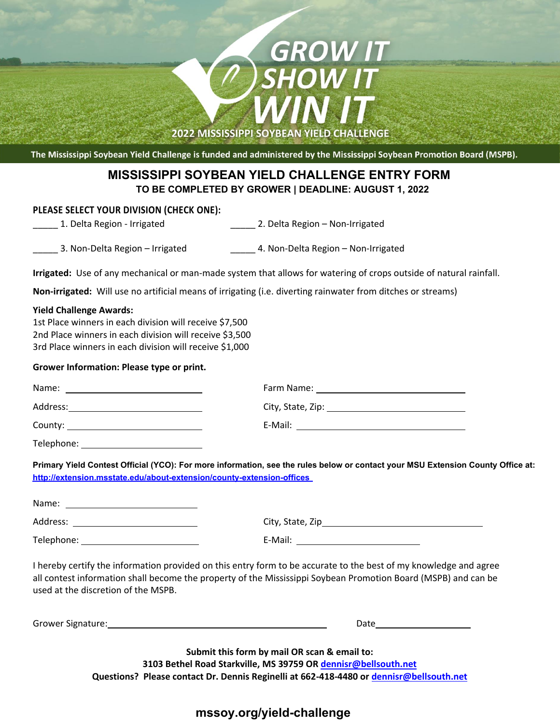# **Entry Deadline: August 1, 2022 Mississippi Soybean Yield Challenge Entry Form TO BE COMPLETED BY GROWER | DEADLINE: AUGUST 1, 2022 MISSISSIPPI SOYBEAN YIELD CHALLENGE ENTRY FORM**

**2022 MISSISSIPPI SOYBEAN YIELD CHALLENGE** 

The Mississippi Soybean Yield Challenge is funded and administered by the Mississippi Soybean Promotion Board (MSPB).

### **PLEASE SELECT YOUR DIVISION (CHECK ONE):**

\_\_\_\_\_ 1. Delta Region - Irrigated \_\_\_\_\_ 2. Delta Region – Non-Irrigated

**GROW IT<br>SHOW IT** 

\_\_\_\_\_ 3. Non-Delta Region – Irrigated \_\_\_\_\_ 4. Non-Delta Region – Non-Irrigated

**Irrigated:** Use of any mechanical or man-made system that allows for watering of crops outside of natural rainfall.

**Non-irrigated:** Will use no artificial means of irrigating (i.e. diverting rainwater from ditches or streams)

### **Yield Challenge Awards:**

1st Place winners in each division will receive \$7,500 2nd Place winners in each division will receive \$3,500 3rd Place winners in each division will receive \$1,000

### **Grower Information: Please type or print.**

| Name:<br><u> 1989 - Johann Stein, mars an deus an deus an deus an deus an deus an deus an deus an deus an deus an deus an</u> | Farm Name: The contract of the contract of the contract of the contract of the contract of the contract of the |
|-------------------------------------------------------------------------------------------------------------------------------|----------------------------------------------------------------------------------------------------------------|
| Address:                                                                                                                      | City, State, Zip: 1988)                                                                                        |
|                                                                                                                               | E-Mail:                                                                                                        |
| Telephone:                                                                                                                    |                                                                                                                |

Primary Yield Contest Official (YCO): For more information, see the rules below or contact your MSU Extension County Office at: **Office at http://extension.msstate.edu/about-extension/county-extension-offices http://extension.msstate.edu/about-extension/county-extension-offices** 

| Name:      |                  |
|------------|------------------|
| Address:   | City, State, Zip |
| Telephone: | E-Mail:          |

I hereby certify the information provided on this entry form to be accurate to the best of my knowledge and agree all contest information shall become the property of the Mississippi Soybean Promotion Board (MSPB) and can be used at the discretion of the MSPB.

| Grower Signature: | Date |
|-------------------|------|
|                   |      |

**Submit this form by mail OR scan & email to: 3103 Bethel Road Starkville, MS 39759 OR dennisr@bellsouth.net Questions? Please contact Dr. Dennis Reginelli at 662-418-4480 or dennisr@bellsouth.net** 

## **mssoy.org/yield-challenge**